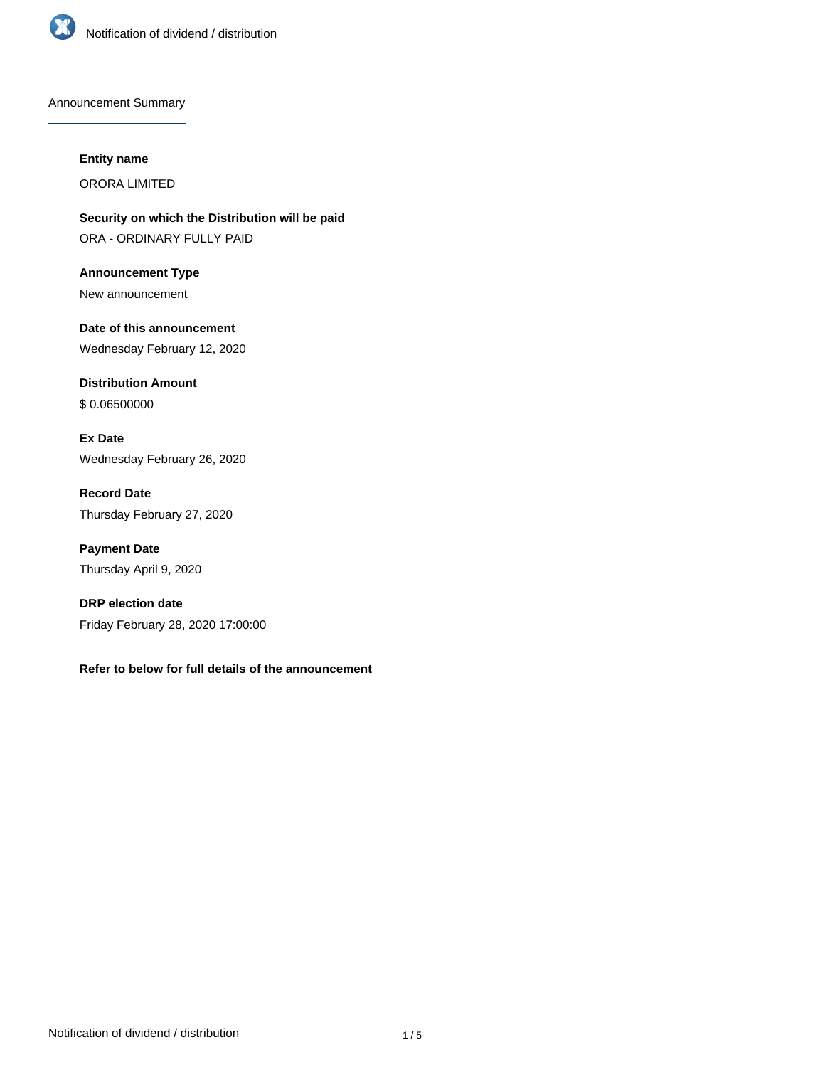

Announcement Summary

#### **Entity name**

ORORA LIMITED

**Security on which the Distribution will be paid** ORA - ORDINARY FULLY PAID

**Announcement Type** New announcement

**Date of this announcement** Wednesday February 12, 2020

**Distribution Amount** \$ 0.06500000

**Ex Date** Wednesday February 26, 2020

**Record Date** Thursday February 27, 2020

**Payment Date** Thursday April 9, 2020

**DRP election date** Friday February 28, 2020 17:00:00

**Refer to below for full details of the announcement**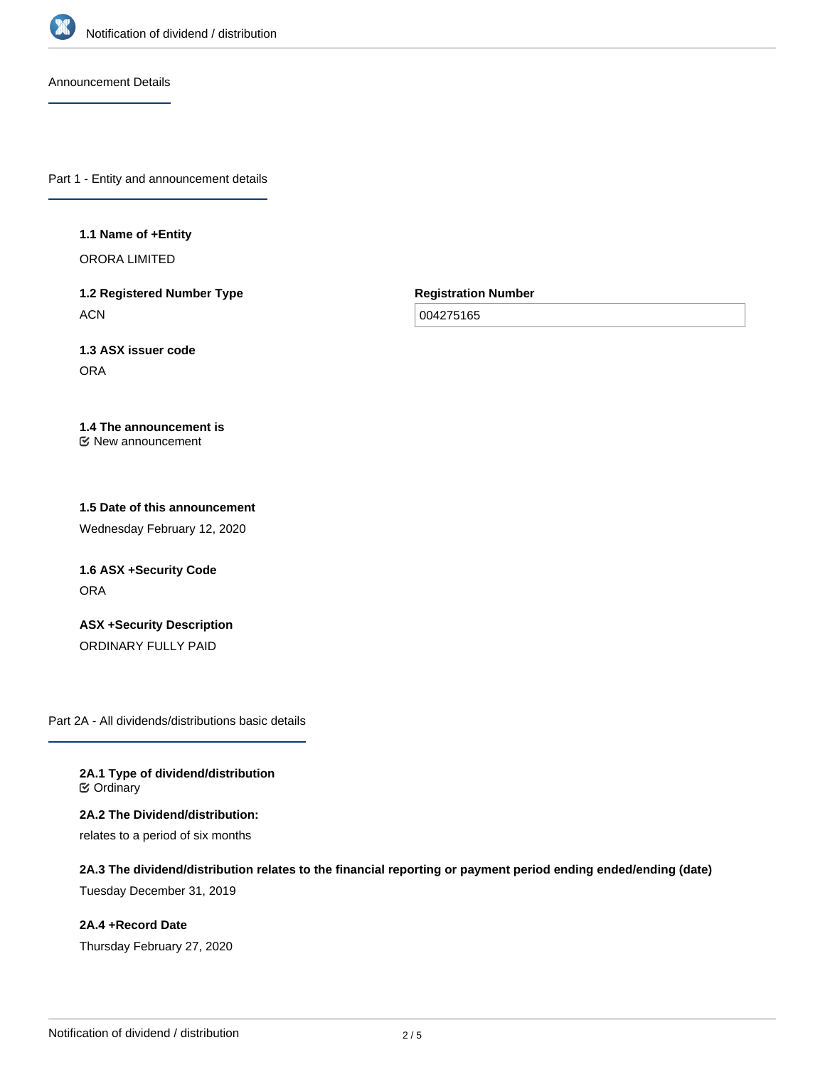

Announcement Details

Part 1 - Entity and announcement details

#### **1.1 Name of +Entity**

ORORA LIMITED

**1.2 Registered Number Type ACN** 

**Registration Number**

004275165

**1.3 ASX issuer code** ORA

**1.4 The announcement is** New announcement

# **1.5 Date of this announcement**

Wednesday February 12, 2020

**1.6 ASX +Security Code ORA** 

**ASX +Security Description** ORDINARY FULLY PAID

Part 2A - All dividends/distributions basic details

**2A.1 Type of dividend/distribution ⊘** Ordinary

**2A.2 The Dividend/distribution:** relates to a period of six months

**2A.3 The dividend/distribution relates to the financial reporting or payment period ending ended/ending (date)**

Tuesday December 31, 2019

**2A.4 +Record Date** Thursday February 27, 2020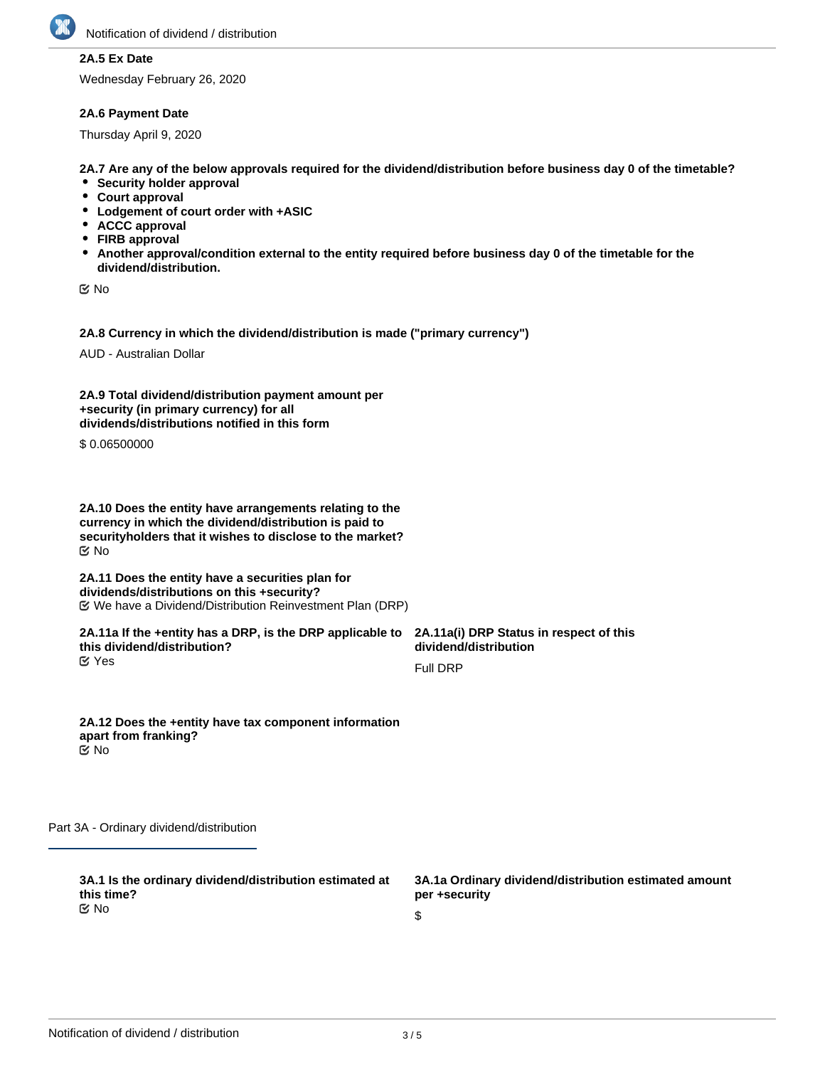

## **2A.5 Ex Date**

Wednesday February 26, 2020

#### **2A.6 Payment Date**

Thursday April 9, 2020

**2A.7 Are any of the below approvals required for the dividend/distribution before business day 0 of the timetable?**

- **•** Security holder approval
- **Court approval**
- **Lodgement of court order with +ASIC**
- **ACCC approval**
- **FIRB approval**
- **Another approval/condition external to the entity required before business day 0 of the timetable for the dividend/distribution.**

No

**2A.8 Currency in which the dividend/distribution is made ("primary currency")**

AUD - Australian Dollar

| 2A.9 Total dividend/distribution payment amount per |
|-----------------------------------------------------|
| +security (in primary currency) for all             |
| dividends/distributions notified in this form       |

\$ 0.06500000

**2A.10 Does the entity have arrangements relating to the currency in which the dividend/distribution is paid to securityholders that it wishes to disclose to the market?** No

**2A.11 Does the entity have a securities plan for dividends/distributions on this +security?** We have a Dividend/Distribution Reinvestment Plan (DRP)

**2A.11a If the +entity has a DRP, is the DRP applicable to this dividend/distribution?** Yes

**2A.11a(i) DRP Status in respect of this dividend/distribution**

Full DRP

**2A.12 Does the +entity have tax component information apart from franking?** No

Part 3A - Ordinary dividend/distribution

**3A.1 Is the ordinary dividend/distribution estimated at this time?** No

**3A.1a Ordinary dividend/distribution estimated amount per +security**

\$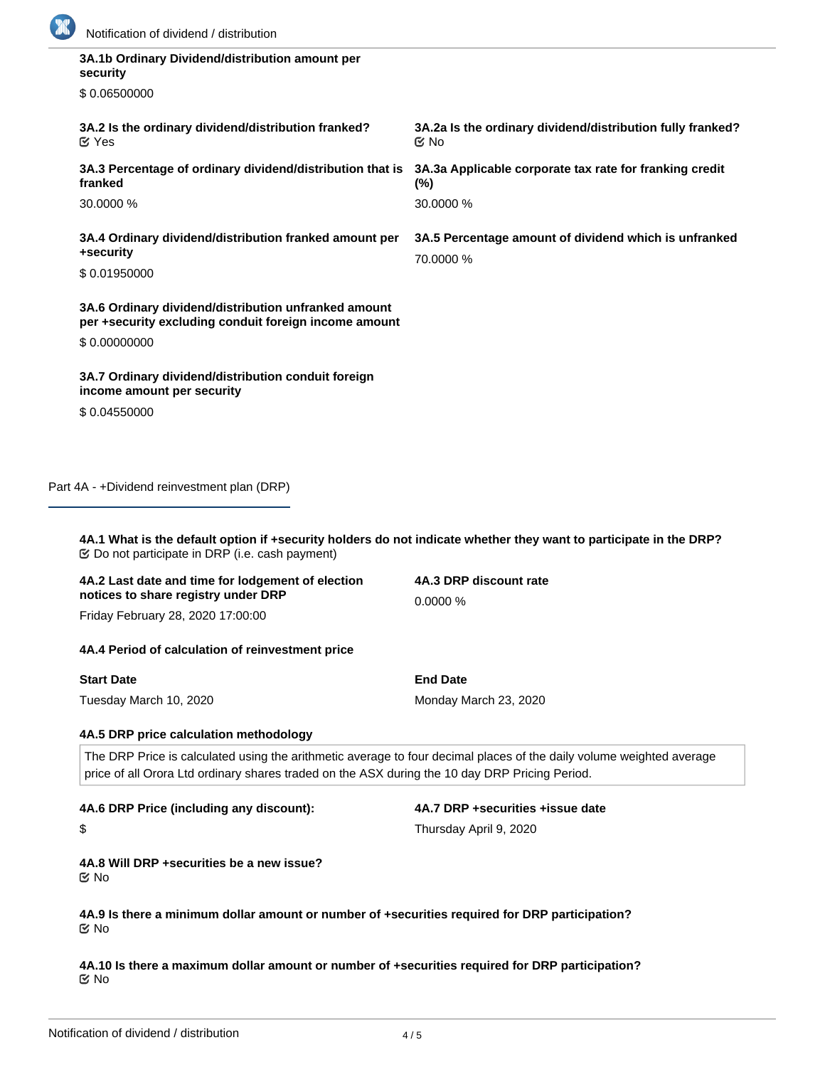

| 3A.1b Ordinary Dividend/distribution amount per<br>security                                                   |                                                                    |
|---------------------------------------------------------------------------------------------------------------|--------------------------------------------------------------------|
| \$0.06500000                                                                                                  |                                                                    |
| 3A.2 Is the ordinary dividend/distribution franked?<br>$\mathfrak{C}$ Yes                                     | 3A.2a Is the ordinary dividend/distribution fully franked?<br>় No |
| 3A.3 Percentage of ordinary dividend/distribution that is<br>franked                                          | 3A.3a Applicable corporate tax rate for franking credit<br>$(\%)$  |
| 30,0000 %                                                                                                     | 30,0000 %                                                          |
| 3A.4 Ordinary dividend/distribution franked amount per<br>+security                                           | 3A.5 Percentage amount of dividend which is unfranked              |
| \$0.01950000                                                                                                  | 70.0000 %                                                          |
| 3A.6 Ordinary dividend/distribution unfranked amount<br>per +security excluding conduit foreign income amount |                                                                    |
| \$0.00000000                                                                                                  |                                                                    |
| 3A.7 Ordinary dividend/distribution conduit foreign<br>income amount per security                             |                                                                    |
| \$0.04550000                                                                                                  |                                                                    |
|                                                                                                               |                                                                    |
|                                                                                                               |                                                                    |

Part 4A - +Dividend reinvestment plan (DRP)

**4A.1 What is the default option if +security holders do not indicate whether they want to participate in the DRP?** Do not participate in DRP (i.e. cash payment)

| 4A.2 Last date and time for lodgement of election | 4A.3 DRP discount rate |
|---------------------------------------------------|------------------------|
| notices to share registry under DRP               | $0.0000\%$             |
|                                                   |                        |

Friday February 28, 2020 17:00:00

#### **4A.4 Period of calculation of reinvestment price**

**Start Date**

\$

Tuesday March 10, 2020

**4A.5 DRP price calculation methodology**

The DRP Price is calculated using the arithmetic average to four decimal places of the daily volume weighted average price of all Orora Ltd ordinary shares traded on the ASX during the 10 day DRP Pricing Period.

**End Date**

Monday March 23, 2020

**4A.6 DRP Price (including any discount):**

**4A.7 DRP +securities +issue date** Thursday April 9, 2020

**4A.8 Will DRP +securities be a new issue?** No

**4A.9 Is there a minimum dollar amount or number of +securities required for DRP participation?** No

**4A.10 Is there a maximum dollar amount or number of +securities required for DRP participation?** No